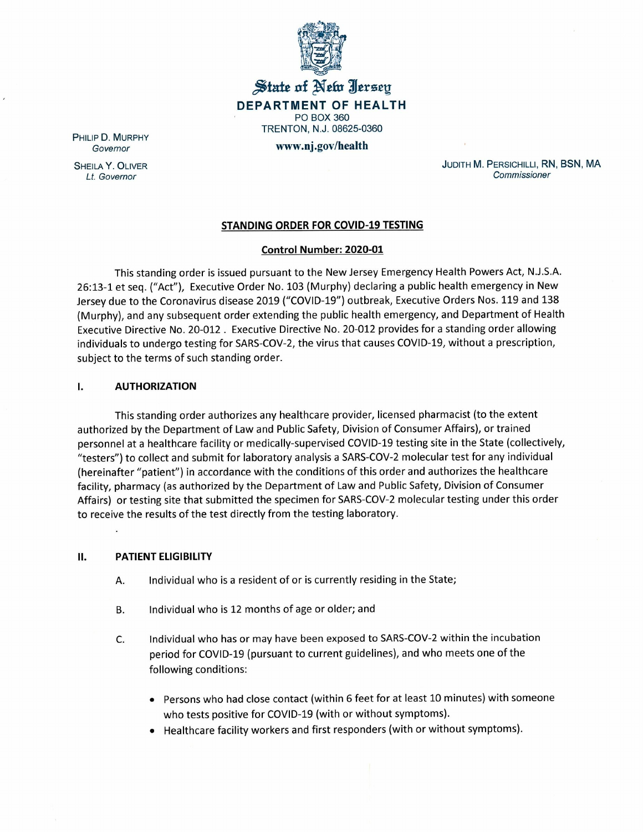

# $\frac{1}{2}$  state of New Jersey **DEPARTMENT OF HEALTH** PO BOX 360 TRENTON, N.J. 08625-0360 **www.oj.gov/health**

PHILIP D. MURPHY *Governor*

SHEILA Y. OLIVER *Lt. Governor*

JUDITH M. PERSICHILLI, RN, BSN, MA *Commissioner*

### **STANDING ORDER FOR COVID-19 TESTING**

### **Control Number: 2020-01**

This standing order is issued pursuant to the New Jersey Emergency Health Powers Act, N.J.S.A. 26:13-1 et seq. ("Act"), Executive Order No. 103 (Murphy) declaring a public health emergency in New Jersey due to the Coronavirus disease 2019 ("COVID-19") outbreak, Executive Orders Nos. 119 and 138 (Murphy), and any subsequent order extending the public health emergency, and Department of Health Executive Directive No. 20-012. Executive Directive No. 20-012 provides for a standing order allowing individuals to undergo testing for SARS-COV-2, the virus that causes COVID-19, without a prescription, subject to the terms of such standing order.

#### **I. AUTHORIZATION**

This standing order authorizes any healthcare provider, licensed pharmacist (to the extent authorized by the Department of Law and Public Safety, Division of Consumer Affairs), or trained personnel at a healthcare facility or medically-supervised COVID-19 testing site in the State (collectively, "testers") to collect and submit for laboratory analysis a SARS-COV-2 molecular test for any individual (hereinafter "patient") in accordance with the conditions of this order and authorizes the healthcare facility, pharmacy (as authorized by the Department of Law and Public Safety, Division of Consumer Affairs) or testing site that submitted the specimen for SARS-COV-2 molecular testing under this order to receive the results of the test directly from the testing laboratory.

### **II. PATIENT ELIGIBILITY**

- A. Individual who is a resident of or is currently residing in the State;
- B. Individual who is 12 months of age or older; and
- C. Individual who has or may have been exposed to SARS-COV-2 within the incubation period for COVID-19 (pursuant to current guidelines), and who meets one of the following conditions:
	- Persons who had close contact (within 6 feet for at least 10 minutes) with someone who tests positive for COVID-19 (with or without symptoms).
	- Healthcare facility workers and first responders (with or without symptoms).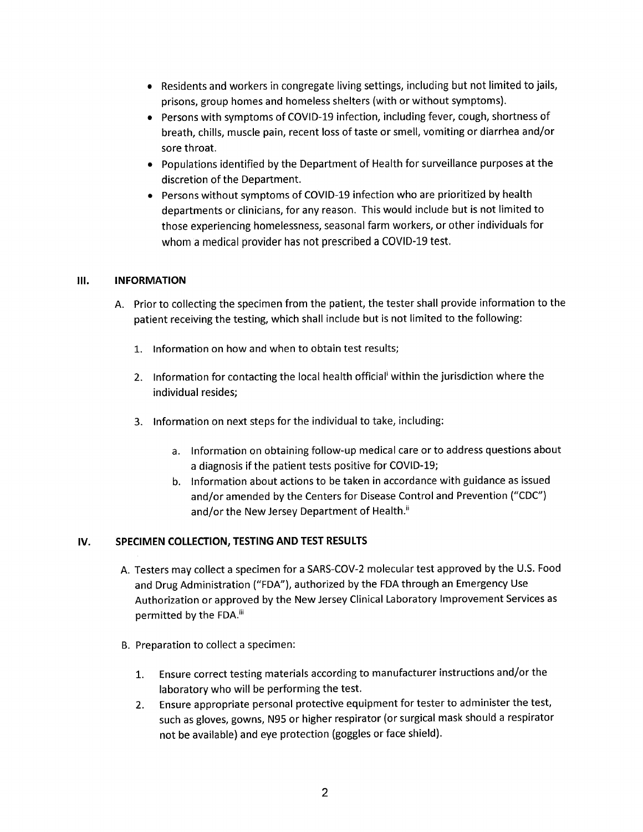- Residents and workers in congregate living settings, including but not limited to jails, prisons, group homes and homeless shelters (with or without symptoms).
- Persons with symptoms of COVID-19 infection, including fever, cough, shortness of breath, chills, muscle pain, recent loss of taste or smell, vomiting or diarrhea and/or sore throat.
- Populations identified by the Department of Health for surveillance purposes at the discretion of the Department.
- Persons without symptoms of COVID-19 infection who are prioritized by health departments or clinicians, for any reason. This would include but is not limited to those experiencing homelessness, seasonal farm workers, or other individuals for whom a medical provider has not prescribed a COVID-19 test.

### **III. INFORMATION**

- A. Prior to collecting the specimen from the patient, the tester shall provide information to the patient receiving the testing, which shall include but is not limited to the following:
	- 1. Information on how and when to obtain test results;
	- 2. Information for contacting the local health official within the jurisdiction where the individual resides;
	- 3. Information on next steps for the individual to take, including:
		- a. Information on obtaining follow-up medical care or to address questions about a diagnosis if the patient tests positive for COVID-19;
		- b. Information about actions to be taken in accordance with guidance as issued and/or amended by the Centers for Disease Control and Prevention ("CDC") and/or the New Jersey Department of Health.<sup>ii</sup>

## IV. **SPECIMEN COLLECTION, TESTING AND TEST RESULTS**

- A. Testers may collect a specimen for a SARS-COV-2 molecular test approved by the U.S. Food and Drug Administration ("FDA"), authorized by the FDA through an Emergency Use Authorization or approved by the New Jersey Clinical Laboratory Improvement Services as permitted by the FDA.<sup>iii</sup>
- B. Preparation to collect a specimen:
	- 1. Ensure correct testing materials according to manufacturer instructions and/or the laboratory who will be performing the test.
	- 2. Ensure appropriate personal protective equipment for tester to administer the test, such as gloves, gowns, N95 or higher respirator (or surgical mask should a respirator not be available) and eye protection (goggles or face shield).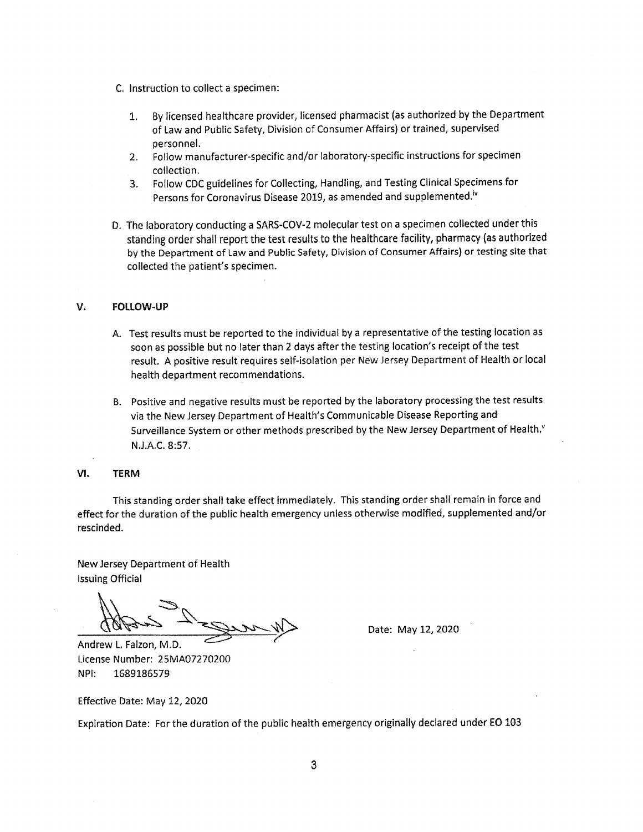- C. Instruction to collect a specimen:
	- 1. By licensed healthcare provider, licensed pharmacist (as authorized by the Department of Law and Public Safety, Division of Consumer Affairs) or trained, supervised personnel.
	- 2. Follow manufacturer-specific and/or laboratory-specific instructions for specimen collection.
	- 3. Follow CDCguidelines for Collecting, Handling, and Testing Clinical Specimens for Persons for Coronavirus Disease 2019, as amended and supplemented.<sup>iv</sup>
- D. The laboratory conducting a SARS-COV-2 molecular test on a specimen collected under this standing order shall report the test results to the healthcare facility, pharmacy (as authorized by the Department of law and Public Safety, Division of Consumer Affairs) or testing site that collected the patient's specimen.

#### **V. FOllOW-UP**

- A. Test results must be reported to the individual by a representative of the testing location as soon as possible but no later than 2 days after the testing location's receipt of the test result. A positive result requires self-isolation per New Jersey Department of Health or local health department recommendations.
- B. Positive and negative results must be reported by the laboratory processing the test results via the New Jersey Department of Health's Communicable Disease Reporting and Surveillance System or other methods prescribed by the New Jersey Department of Health.<sup>v</sup> N.JAC. 8:57.

#### **VI. TERM**

This standing order shall take effect immediately. This standing order shall remain in force and effect for the duration of the public health emergency unless otherwise modified, supplemented and/or rescinded.

New Jersey Department of Health Issuing Official

*~~~p*

Andrew L. Falzon, M.D. License Number: 25MA07270200 NPI: 1689186579

Date: May 12, 2020

Effective Date: May 12, 2020

Expiration Date: For the duration of the public health emergency originally declared under EO 103